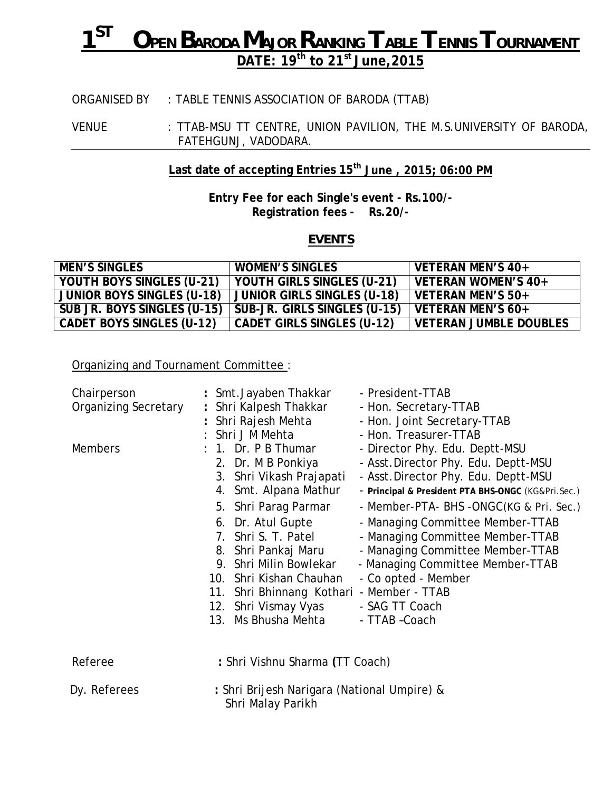# *1ST OPEN BARODA MAJOR RANKING TABLE TENNIS TOURNAMENT* **DATE: 19th to 21st June,2015**

## ORGANISED BY : TABLE TENNIS ASSOCIATION OF BARODA (TTAB)

VENUE : TTAB-MSU TT CENTRE, UNION PAVILION, THE M.S.UNIVERSITY OF BARODA, FATEHGUNJ, VADODARA.

### **Last date of accepting Entries 15th June , 2015; 06:00 PM**

**Entry Fee for each Single's event - Rs.100/- Registration fees - Rs.20/-**

#### *EVENTS*

| <b>MEN'S SINGLES</b>              | <b>WOMEN'S SINGLES</b>            | VETERAN MEN'S 40+             |
|-----------------------------------|-----------------------------------|-------------------------------|
| YOUTH BOYS SINGLES (U-21)         | YOUTH GIRLS SINGLES (U-21)        | VETERAN WOMEN'S 40+           |
| <b>JUNIOR BOYS SINGLES (U-18)</b> | JUNIOR GIRLS SINGLES (U-18)       | VETERAN MEN'S 50+             |
| SUB JR. BOYS SINGLES (U-15)       | SUB-JR. GIRLS SINGLES (U-15)      | VETERAN MEN'S 60+             |
| <b>CADET BOYS SINGLES (U-12)</b>  | <b>CADET GIRLS SINGLES (U-12)</b> | <b>VETERAN JUMBLE DOUBLES</b> |

Organizing and Tournament Committee :

| Chairperson                 | : Smt. Jayaben Thakkar<br>- President-TTAB                                  |
|-----------------------------|-----------------------------------------------------------------------------|
| <b>Organizing Secretary</b> | : Shri Kalpesh Thakkar<br>- Hon. Secretary-TTAB                             |
|                             | Shri Rajesh Mehta<br>- Hon. Joint Secretary-TTAB                            |
|                             | : Shri J M Mehta<br>- Hon. Treasurer-TTAB                                   |
| <b>Members</b>              | : 1. Dr. P B Thumar<br>- Director Phy. Edu. Deptt-MSU                       |
|                             | - Asst. Director Phy. Edu. Deptt-MSU<br>2. Dr. M B Ponkiya                  |
|                             | 3. Shri Vikash Prajapati<br>- Asst. Director Phy. Edu. Deptt-MSU            |
|                             | 4. Smt. Alpana Mathur<br>- Principal & President PTA BHS-ONGC (KG&Pri.Sec.) |
|                             | 5. Shri Parag Parmar<br>- Member-PTA- BHS -ONGC(KG & Pri. Sec.)             |
|                             | 6. Dr. Atul Gupte<br>- Managing Committee Member-TTAB                       |
|                             | 7. Shri S. T. Patel<br>- Managing Committee Member-TTAB                     |
|                             | - Managing Committee Member-TTAB<br>8. Shri Pankaj Maru                     |
|                             | Shri Milin Bowlekar<br>- Managing Committee Member-TTAB<br>9.               |
|                             | 10. Shri Kishan Chauhan<br>- Co opted - Member                              |
|                             | 11. Shri Bhinnang Kothari - Member - TTAB                                   |
|                             | 12. Shri Vismay Vyas<br>- SAG TT Coach                                      |
|                             | 13. Ms Bhusha Mehta<br>- TTAB - Coach                                       |
|                             |                                                                             |
| Referee                     | : Shri Vishnu Sharma (TT Coach)                                             |
|                             |                                                                             |
| Dy. Referees                | : Shri Brijesh Narigara (National Umpire) &<br>Shri Malay Parikh            |
|                             |                                                                             |